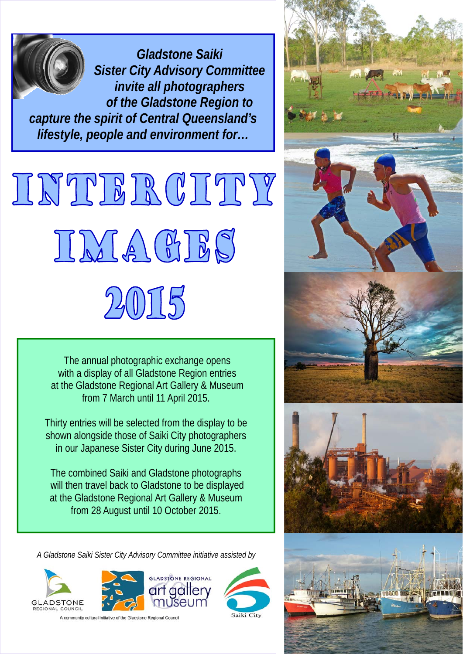*Gladstone Saiki Sister City Advisory Committee invite all photographers of the Gladstone Region to capture the spirit of Central Queensland's lifestyle, people and environment for…* 

# INTIBROITTY IMAGIES 2015

 The annual photographic exchange opens with a display of all Gladstone Region entries at the Gladstone Regional Art Gallery & Museum from 7 March until 11 April 2015.

Thirty entries will be selected from the display to be shown alongside those of Saiki City photographers in our Japanese Sister City during June 2015.

The combined Saiki and Gladstone photographs will then travel back to Gladstone to be displayed at the Gladstone Regional Art Gallery & Museum from 28 August until 10 October 2015.

*A Gladstone Saiki Sister City Advisory Committee initiative assisted by* 













A community cultural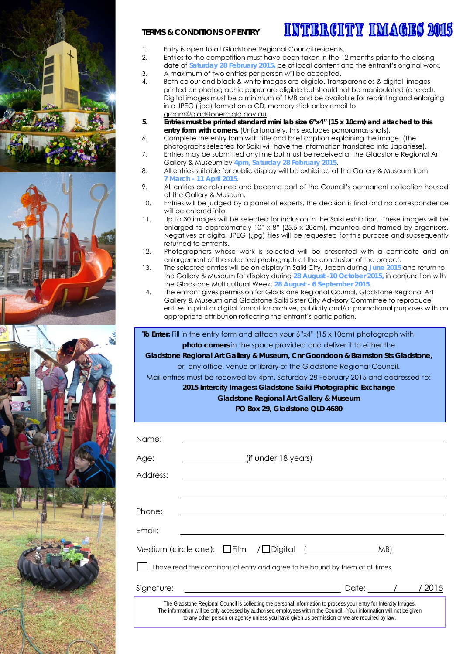





#### **TERMS & CONDITIONS OF ENTRY**

## INTIERCHTY IMAGES 2015

- 1. Entry is open to all Gladstone Regional Council residents.
- 2. Entries to the competition must have been taken in the 12 months prior to the closing date of **Saturday 28 February 2015,** be of local content and the entrant's original work.
- 3. A maximum of two entries per person will be accepted.
- 4. Both colour and black & white images are eligible. Transparencies & digital images printed on photographic paper are eligible but should not be manipulated (altered). Digital images must be a minimum of 1MB and be available for reprinting and enlarging in a JPEG (.jpg) format on a CD, memory stick or by email to gragm@gladstonerc.qld.gov.au .
- **5. Entries must be printed standard mini lab size 6"x4" (15 x 10cm) and attached to this entry form with corners.** (Unfortunately, this excludes panoramas shots).
- 6. Complete the entry form with title and brief caption explaining the image. (The photographs selected for Saiki will have the information translated into Japanese).
- 7. Entries may be submitted anytime but must be received at the Gladstone Regional Art Gallery & Museum by **4pm, Saturday 28 February 2015**.
- 8. All entries suitable for public display will be exhibited at the Gallery & Museum from **7 March - 11 April 2015**.
- 9. All entries are retained and become part of the Council's permanent collection housed at the Gallery & Museum.
- 10. Entries will be judged by a panel of experts, the decision is final and no correspondence will be entered into.
- 11. Up to 30 images will be selected for inclusion in the Saiki exhibition. These images will be enlarged to approximately 10" x 8" (25.5 x 20cm), mounted and framed by organisers. Negatives or digital JPEG (.jpg) files will be requested for this purpose and subsequently returned to entrants.
- 12. Photographers whose work is selected will be presented with a certificate and an enlargement of the selected photograph at the conclusion of the project.
- 13. The selected entries will be on display in Saiki City, Japan during **June 2015** and return to the Gallery & Museum for display during **28 August -10 October 2015,** in conjunction with the Gladstone Multicultural Week, **28 August - 6 September 2015**.
- 14. The entrant gives permission for Gladstone Regional Council, Gladstone Regional Art Gallery & Museum and Gladstone Saiki Sister City Advisory Committee to reproduce entries in print or digital format for archive, publicity and/or promotional purposes with an appropriate attribution reflecting the entrant's participation.

 **To Enter:** Fill in the entry form and attach your 6"x4" (15 x 10cm) photograph with **photo corners** in the space provided and deliver it to either the

**Gladstone Regional Art Gallery & Museum, Cnr Goondoon & Bramston Sts Gladstone,**  or any office, venue or library of the Gladstone Regional Council.

Mail entries must be received by 4pm, Saturday 28 February 2015 and addressed to: **2015 Intercity Images: Gladstone Saiki Photographic Exchange** 

#### **Gladstone Regional Art Gallery & Museum**

**PO Box 29, Gladstone QLD 4680** 

| Name:                                                                                                                                                                                                                                                                                                                                     |                                                                    |
|-------------------------------------------------------------------------------------------------------------------------------------------------------------------------------------------------------------------------------------------------------------------------------------------------------------------------------------------|--------------------------------------------------------------------|
| Age:                                                                                                                                                                                                                                                                                                                                      | (if under 18 years)                                                |
| Address:                                                                                                                                                                                                                                                                                                                                  |                                                                    |
|                                                                                                                                                                                                                                                                                                                                           |                                                                    |
| Phone:                                                                                                                                                                                                                                                                                                                                    |                                                                    |
| Email:                                                                                                                                                                                                                                                                                                                                    |                                                                    |
|                                                                                                                                                                                                                                                                                                                                           | Medium <i>(circle one)</i> : $\Box$ Film / $\Box$ Digital (<br>MB) |
| I have read the conditions of entry and agree to be bound by them at all times.                                                                                                                                                                                                                                                           |                                                                    |
| Signature:                                                                                                                                                                                                                                                                                                                                | Date: /<br>/ 2015                                                  |
| The Gladstone Regional Council is collecting the personal information to process your entry for Intercity Images.<br>The information will be only accessed by authorised employees within the Council. Your information will not be given<br>to any other person or agency unless you have given us permission or we are required by law. |                                                                    |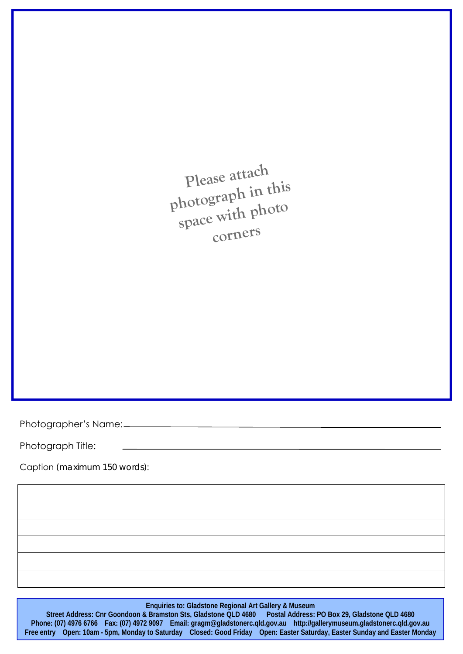**Please attach photograph in this space with photo corners**

Photographer's Name:

Photograph Title:

Caption *(maximum 150 words)*:

#### **Enquiries to: Gladstone Regional Art Gallery & Museum**

**Street Address: Cnr Goondoon & Bramston Sts, Gladstone QLD 4680 Postal Address: PO Box 29, Gladstone QLD 4680 Phone: (07) 4976 6766 Fax: (07) 4972 9097 Email: gragm@gladstonerc.qld.gov.au http://gallerymuseum.gladstonerc.qld.gov.au Free entry Open: 10am - 5pm, Monday to Saturday Closed: Good Friday Open: Easter Saturday, Easter Sunday and Easter Monday**